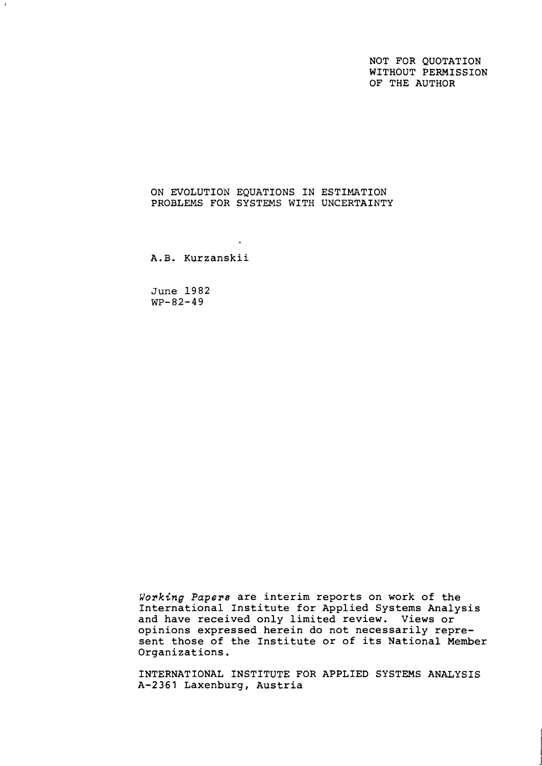NOT FOR QUOTATION WITHOUT PERMISSION OF THE AUTHOR

ON EVOLUTION EQUATIONS IN ESTIMATION PROBLEMS FOR SYSTEMS WITH UNCERTAINTY

 $\mathcal{F}$ 

A.B. Kurzanskii

June 1982 WP-82-49

Working *Papers* are interim reports on work of the International Institute for Applied Systems Analysis and have received only limited review. Views or opinions expressed herein do not necessarily represent those of the Institute or of its National Member Organizations.

INTERNATIONAL INSTITUTE FOR APPLIED SYSTEMS ANALYSIS A-2361 Laxenburg, Austria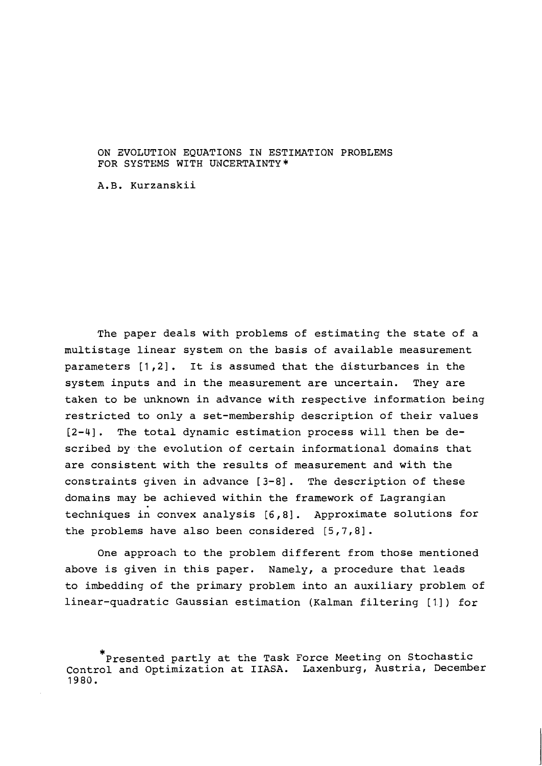## ON ZVOLUTION EQUATIONS IN ESTIMATION PROBLEMS FOR SYSTEMS WITH UNCERTAINTY \*

A.B. Kurzanskii

The paper deals with problems of estimating the state of a multistage linear system on the basis of available measurement parameters [1,2]. It is assumed that the disturbances in the system inputs and in the measurement are uncertain. They are taken to be unknown in advance with respective information being restricted to only a set-membership description of their values [2-41. The total dynamic estimation process will then be described by the evolution of certain informational domains that are consistent with the results of measurement and with the constraints given in advance [3-81. The description of these domains may be achieved within the framework of Lagrangian techniques in convex analysis  $[6,8]$ . Approximate solutions for the problems have also been considered [5,7,8].

One approach to the problem different from those mentioned above is given in this paper. Namely, a procedure that leads to imbedding of the primary problem into an auxiliary problem of linear-quadratic Gaussian estimation (Kalman filtering [1]) for

<sup>\*</sup>  Presented partly at the Task Force Meeting on Stochastic Control and Optimization at IIASA. Laxenburg, Austria, December 1980.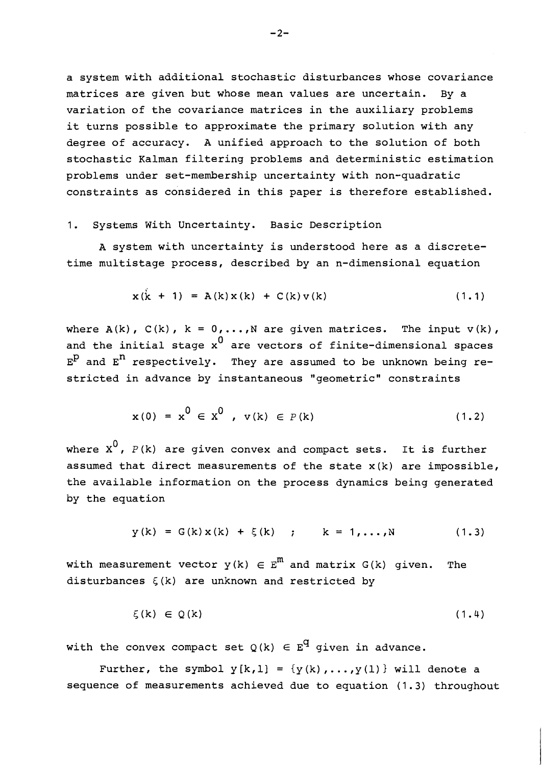a system with additional stochastic disturbances whose covariance matrices are given but whose mean values are uncertain. By a variation of the covariance matrices in the auxiliary problems it turns possible to approximate the primary solution with any degree of accuracy. A unified approach to the solution of both stochastic Kalman filtering problems and deterministic estimation problems under set-membership uncertainty with non-quadratic constraints as considered in this paper is therefore established.

# 1. Systems With Uncertainty. Basic Description

A system with uncertainty is understood here as a discretetime multistage process, described by an n-dimensional equation

$$
x(k + 1) = A(k)x(k) + C(k)v(k)
$$
 (1.1)

where  $A(k)$ ,  $C(k)$ ,  $k = 0,...,N$  are given matrices. The input  $v(k)$ , and the initial stage  $x^0$  are vectors of finite-dimensional spaces  $E^P$  and  $E^n$  respectively. They are assumed to be unknown being restricted in advance by instantaneous "geometric" constraints

$$
x(0) = x0 \in X0, v(k) \in P(k)
$$
 (1.2)

where  $x^0$ ,  $P(k)$  are given convex and compact sets. It is further assumed that direct measurements of the state  $x(k)$  are impossible, the available information on the process dynamics being generated by the equation

$$
y(k) = G(k)x(k) + \xi(k) \quad ; \qquad k = 1,...,N \tag{1.3}
$$

with measurement vector  $y(k) \in E^{m}$  and matrix  $G(k)$  given. The disturbances  $\xi(k)$  are unknown and restricted by

$$
\xi(k) \in Q(k) \tag{1.4}
$$

with the convex compact set  $Q(k) \in E^q$  given in advance.

Further, the symbol  $y[k, 1] = {y(k), ..., y(1)}$  will denote a sequence of measurements achieved due to equation (1.3) throughout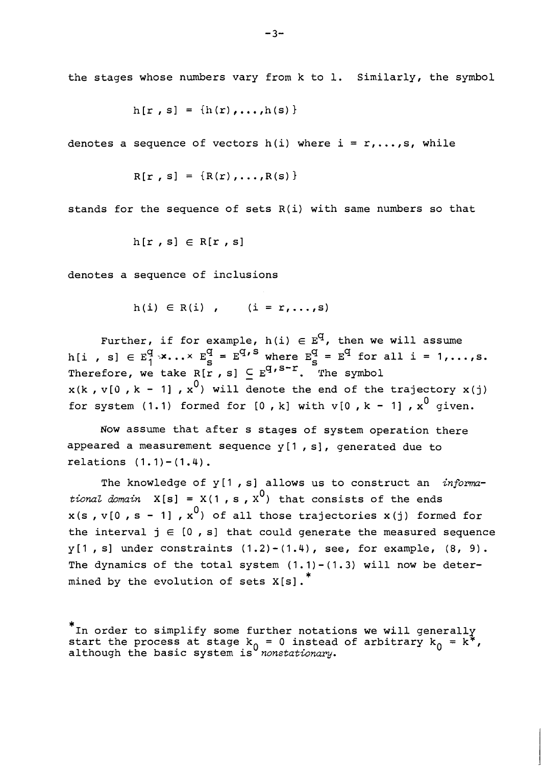the stages whose numbers vary from k to 1. Similarly, the symbol

$$
h[r, s] = {h(r), ..., h(s)}
$$

denotes a sequence of vectors h(i) where  $i = r, \ldots, s$ , while

$$
R[r, s] = \{R(r), \ldots, R(s)\}
$$

stands for the sequence of sets R(i) with same numbers so that

$$
h[r, s] \in R[r, s]
$$

denotes a sequence of inclusions

$$
h(i) \in R(i) , \qquad (i = r, \ldots, s)
$$

Further, if for example,  $h(i) \in E^q$ , then we will assume h[i , s]  $\in$  E<sup>q</sup>  $\times$ ... $\times$  E<sup>q</sup> = E<sup>q, S</sup> where E<sub>S</sub><sup>q</sup> = E<sup>q</sup> for all i = 1,...,s. Therefore, we take  $R[r, s] \subseteq E^{q, s-r}$ . The symbol  $x(k, v[0, k - 1], x^0)$  will denote the end of the trajectory  $x(i)$ for system (1.1) formed for  $[0, k]$  with  $v[0, k - 1]$ ,  $x^0$  given.

Now assume that after s stages of system operation there appeared a measurement sequence  $y[1, s]$ , generated due to relations  $(1.1) - (1.4)$ .

The knowledge of y[l , s] allows us to construct an *informational domain*  $X[s] = X(1, s, X^0)$  that consists of the ends  $x(s, v[0, s - 1], x^0)$  of all those trajectories  $x(j)$  formed for the interval  $j \in [0, s]$  that could generate the measured sequence  $y[1, s]$  under constraints  $(1.2)-(1.4)$ , see, for example,  $(8, 9)$ . The dynamics of the total system  $(1.1) - (1.3)$  will now be determined by the evolution of sets  $X[s]$ .

<sup>\*</sup>  In order to simplify some further notations we will generally start the process at stage  $k_0 = 0$  instead of arbitrary  $k_0 = k^*$ although the basic system is *nonstatwnary.*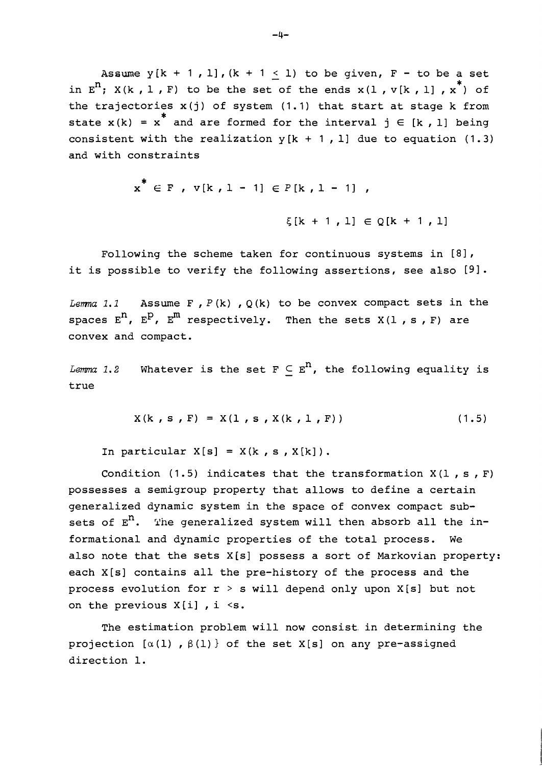Assume  $y[k + 1, 1], (k + 1 < 1)$  to be given,  $F -$  to be a set in  $E^{n}$ ; X(k, l, F) to be the set of the ends x(1, v[k, l],  $x^{*}$ ) of the trajectories  $x(j)$  of system  $(1.1)$  that start at stage k from state  $x(k) = x^*$  and are formed for the interval  $j \in [k, 1]$  being consistent with the realization  $y[k + 1, 1]$  due to equation (1.3) and with constraints

$$
x^* \in F
$$
,  $v[k, 1 - 1] \in P[k, 1 - 1]$ ,  
 $\xi[k + 1, 1] \in Q[k + 1, 1]$ 

Following the scheme taken for continuous systems in  $[8]$ , it is possible to verify the following assertions, see also  $[9]$ .

*Lemma 1.1* Assume F,  $P(k)$ ,  $Q(k)$  to be convex compact sets in the spaces  $E^{n}$ ,  $E^{p}$ ,  $E^{m}$  respectively. Then the sets  $X(1, s, F)$  are convex and compact.

*Lemma* 1.2 Whatever is the set  $F \subseteq E^n$ , the following equality is true

$$
X(k, s, F) = X(1, s, X(k, 1, F))
$$
 (1.5)

In particular  $X[s] = X(k, s, X[k])$ .

Condition (1.5) indicates that the transformation  $X(1, s, F)$ possesses a semigroup property that allows to define a certain generalized dynamic system in the space of convex compact subsets of  $E<sup>n</sup>$ . The generalized system will then absorb all the informational and dynamic properties of the total process. We also note that the sets X[s] possess a sort of Markovian property: each X[s] contains all the pre-history of the process and the process evolution for  $r > s$  will depend only upon X[s] but not on the previous  $X[i]$ , i <s.

The estimation problem will now consist. in determining the projection  $[\alpha(1)$ ,  $\beta(1)$  of the set X[s] on any pre-assigned direction 1.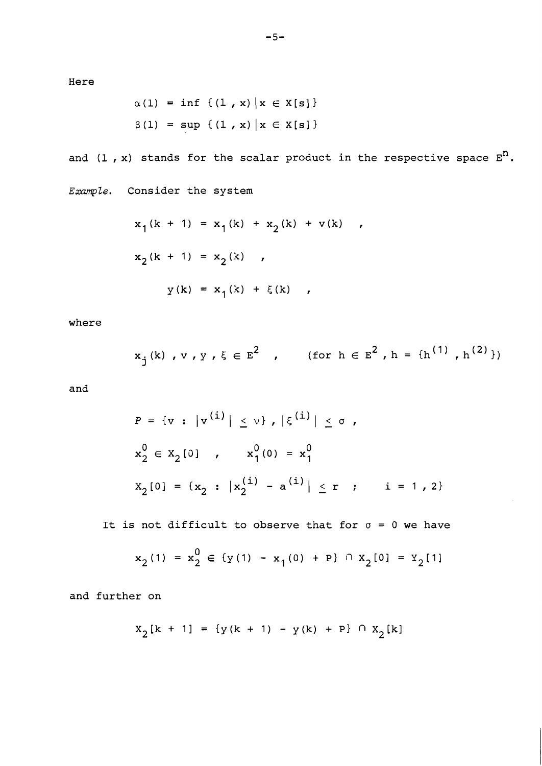Here

$$
\alpha(1) = \inf \{ (1, x) | x \in X[s] \}
$$
  
 $\beta(1) = \sup \{ (1, x) | x \in X[s] \}$ 

and  $(1, x)$  stands for the scalar product in the respective space  $E<sup>n</sup>$ . Example. Consider the system

$$
x_1(k + 1) = x_1(k) + x_2(k) + v(k) ,
$$
  
\n
$$
x_2(k + 1) = x_2(k) ,
$$
  
\n
$$
y(k) = x_1(k) + \xi(k) ,
$$

where

$$
x_j(k), v, y, \xi \in E^2 , \qquad \text{(for } h \in E^2, h = \{h^{(1)}, h^{(2)}\}\text{)}
$$

and

$$
P = \{v : |v^{(i)}| \le v\}, |\xi^{(i)}| \le \sigma,
$$
  
\n
$$
x_2^0 \in x_2[0], \qquad x_1^0(0) = x_1^0
$$
  
\n
$$
x_2[0] = \{x_2 : |x_2^{(i)} - a^{(i)}| \le r \} \qquad i = 1, 2\}
$$

It is not difficult to observe that for  $\sigma = 0$  we have

$$
x_2(1) = x_2^0 \in \{y(1) - x_1(0) + P\} \cap x_2[0] = Y_2[1]
$$

and further on

$$
X_2[k + 1] = \{y(k + 1) - y(k) + P\} \cap X_2[k]
$$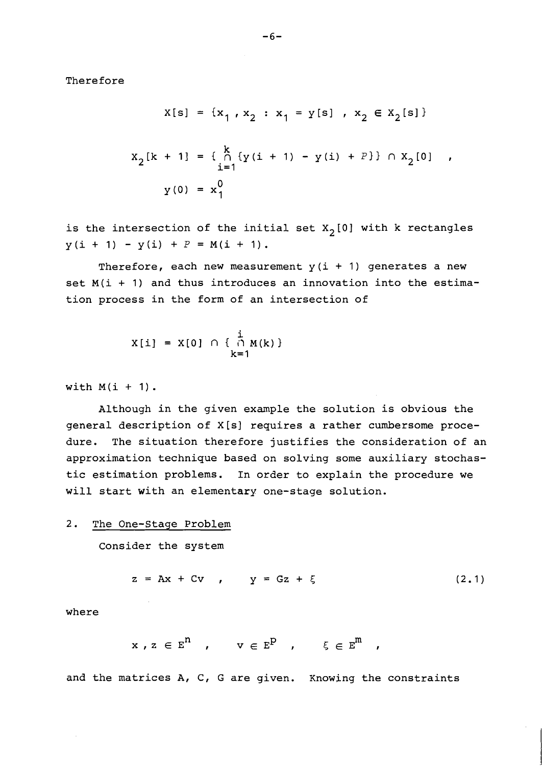Therefore

$$
x[s] = \{x_1, x_2 : x_1 = y[s], x_2 \in x_2[s]\}
$$

$$
x_2[k + 1] = \begin{cases} k \\ 0 \\ i = 1 \end{cases} \{y(i + 1) - y(i) + P\} \cap x_2[0], \quad y(0) = x_1^0
$$

is the intersection of the initial set  $X_2[0]$  with k rectangles  $y(i + 1) - y(i) + P = M(i + 1).$ 

Therefore, each new measurement  $y(i + 1)$  generates a new set  $M(i + 1)$  and thus introduces an innovation into the estimation process in the form of an intersection of

$$
X[i] = X[0] \cap \{ \begin{array}{c} i \\ i \cap M(k) \end{array} \}
$$
  
 $k=1$ 

with  $M(i + 1)$ .

Although in the given example the solution is obvious the general description of X[s] requires a rather cumbersome procedure. The situation therefore justifies the consideration of an approximation technique based on solving some auxiliary stochastic estimation problems. In order to explain the procedure we will start with an elementary one-stage solution.

# 2. The One-Stage Problem

Consider the system

$$
z = Ax + Cv , y = Gz + \xi
$$
 (2.1)

where

$$
x \, , \, z \, \in \, \mathbb{E}^{\mathbf{n}} \quad , \qquad v \, \in \, \mathbb{E}^{\mathbf{p}} \quad , \qquad \xi \, \in \, \mathbb{E}^{\mathbf{m}} \quad ,
$$

and the matrices  $A$ ,  $C$ ,  $G$  are given. Knowing the constraints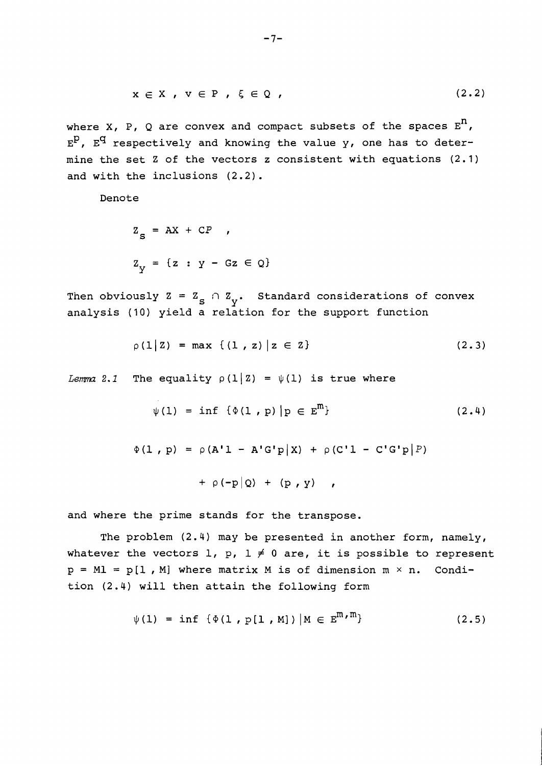$$
x \in X, \quad v \in P, \quad \xi \in Q,
$$
\n
$$
(2.2)
$$

where X, P, Q are convex and compact subsets of the spaces  $E^{n}$ ,  $E^P$ ,  $E^q$  respectively and knowing the value y, one has to determine the set Z of the vectors z consistent with equations (2.1) and with the inclusions (2.2).

Denote

$$
Z_{S} = AX + CP ,
$$
  

$$
Z_{Y} = \{z : Y - Gz \in Q\}
$$

Then obviously  $Z = Z_S \cap Z_{\mathbf{y}}$ . Standard considerations of convex analysis (10) yield a relation for the support function

$$
\rho(1|Z) = \max \{ (1, z) | z \in Z \}
$$
 (2.3)

*Lemma* 2.1 The equality  $\rho(1|2) = \psi(1)$  is true where

$$
\psi(1) = \inf \{\Phi(1, p) | p \in E^{m}\}\
$$
 (2.4)

$$
\Phi(1, p) = \rho(A'1 - A'G'p|X) + \rho(C'1 - C'G'p|P)
$$

$$
+ \rho(-p|Q) + (p, y) ,
$$

and where the prime stands for the transpose.

The problem (2.4) may be presented in another form, namely, whatever the vectors 1, p,  $1 \neq 0$  are, it is possible to represent  $p = ML = p[1, M]$  where matrix M is of dimension  $m \times n$ . Condition (2.4) will then attain the following form

$$
\psi(1) = \inf \{ \Phi(1, p[1, M]) \mid M \in E^{m, m} \}
$$
 (2.5)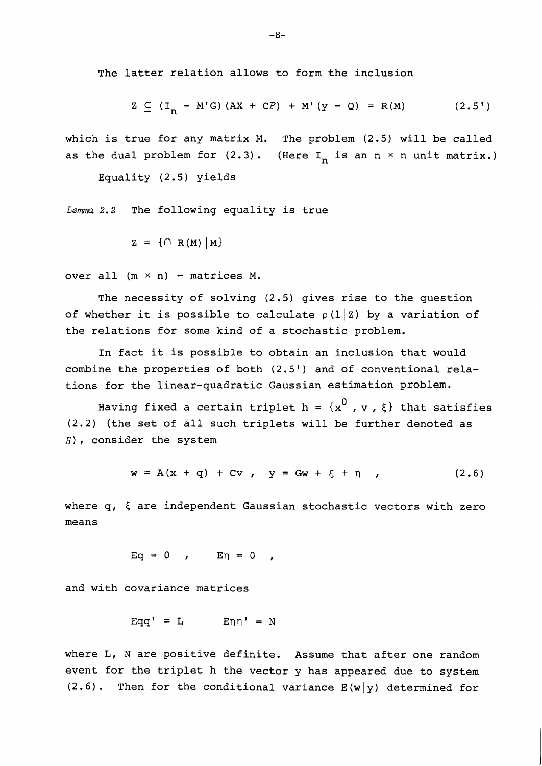The latter relation allows to form the inclusion

$$
Z \subseteq (I_n - M'G) (AX + CP) + M'(Y - Q) = R(M)
$$
 (2.5')

which is true for any matrix M. The problem (2.5) will be called as the dual problem for  $(2.3)$ . (Here I<sub>n</sub> is an n x n unit matrix.)

Equality (2.5) yields

Lemma 2.2 The following equality is true

$$
Z = \{ \cap R(M) | M \}
$$

over all  $(m \times n)$  - matrices M.

The necessity of solving (2.5) gives rise to the question of whether it is possible to calculate  $\rho(1|z)$  by a variation of the relations for some kind of a stochastic problem.

In fact it is possible to obtain an inclusion that would combine the properties of both (2.5') and of conventional relations for the linear-quadratic Gaussian estimation problem.

Having fixed a certain triplet h =  $\{x^0, v, \xi\}$  that satisfies (2.2) (the set of all such triplets will be further denoted as **H),** consider the system

$$
w = A(x + q) + Cv, \quad y = Gw + \xi + \eta \quad , \tag{2.6}
$$

where q, *5* are independent Gaussian stochastic vectors with zero means

$$
Eq = 0 , \qquad En = 0 ,
$$

and with covariance matrices

$$
Eqq' = L \qquad En \eta' = N
$$

where L, N are positive definite. Assume that after one random event for the triplet h the vector y has appeared due to system  $(2.6)$ . Then for the conditional variance  $E(w|y)$  determined for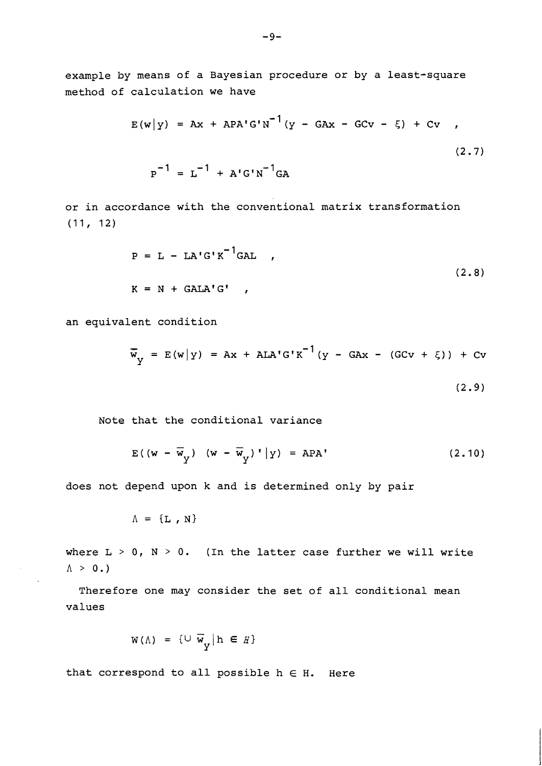example by means of a Bayesian procedure or by a least-square method of calculation we have

$$
E(w|y) = Ax + APA'G'N^{-1}(y - GAx - GCv - \xi) + Cv ,
$$
  

$$
P^{-1} = L^{-1} + A'G'N^{-1}GA
$$
 (2.7)

or in accordance with the conventional matrix transformation (11, 12)

$$
P = L - LA'G'K^{-1}GAL ,
$$
  

$$
K = N + GALA'G' ,
$$
 (2.8)

an equivalent condition

$$
\overline{w}_{y}
$$
 = E(w|y) = Ax + ALA'G'K<sup>-1</sup>(y - GAx - (GCv +  $\xi$ )) + Cv  
(2.9)

Note that the conditional variance

$$
E((w - \overline{w}_{y}) (w - \overline{w}_{y})^{\dagger}|y) = APA^{\dagger}
$$
 (2.10)

does not depend upon k and is determined only by pair

 $\Lambda = \{L, N\}$ 

where  $L > 0$ ,  $N > 0$ . (In the latter case further we will write  $\Lambda > 0.$ 

Therefore one may consider the set of all conditional mean values

$$
W(\Lambda) = \{U \overline{w}_y | h \in H\}
$$

that correspond to all possible  $h \in H$ . Here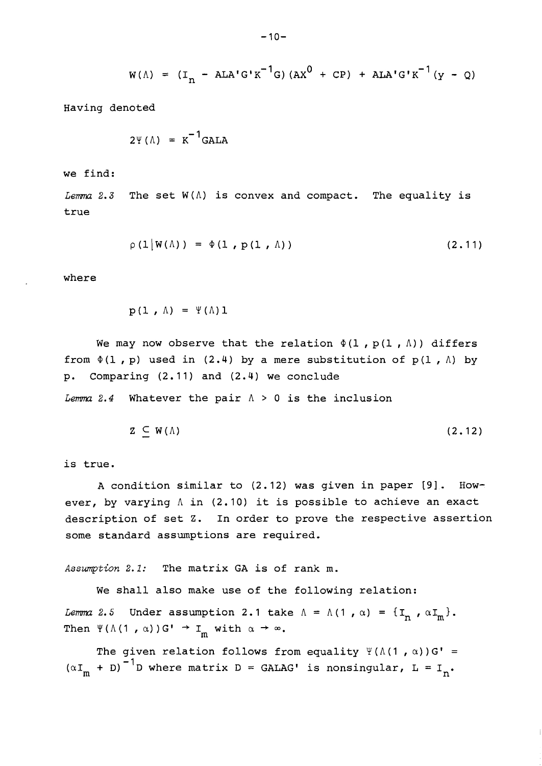$$
w(\Lambda) = (I_n - ALA'G'K^{-1}G) (AX^0 + CP) + ALA'G'K^{-1}(y - Q)
$$

Having denoted

$$
2\Psi(\Lambda) = K^{-1} \text{GALA}
$$

we find:

*Lemma* 2.3 The set  $W(\Lambda)$  is convex and compact. The equality is true

$$
\rho\left(1\middle|W(\Lambda)\right) = \Phi\left(1\,,\,P\left(1\,,\,\Lambda\right)\right) \tag{2.11}
$$

where

$$
p(1 \cdot \Lambda) = \Psi(\Lambda)1
$$

We may now observe that the relation  $\Phi(1, p(1, \Lambda))$  differs from  $\Phi(1, p)$  used in (2.4) by a mere substitution of  $p(1, \Lambda)$  by p. Comparing (2.11) and (2.4) we conclude

*Lemma 2.4* Whatever the pair  $\Lambda > 0$  is the inclusion

$$
Z \subseteq W(\Lambda) \tag{2.12}
$$

is true.

A condition similar to (2.12) was given in paper **191** . However, by varying A in (2.10) it is possible to achieve an exact description of set Z. In order to prove the respective assertion some standard assunptions are required.

Assumption 2.1: The matrix GA is of rank m.

We shall also make use of the following relation:

*Lemma 2.5* Under assumption 2.1 take  $\Lambda = \Lambda (1, \alpha) = \{\mathbf{I}_n, \alpha \mathbf{I}_m\}$ . Then  $\Psi(\Lambda(1, \alpha))G' \rightarrow I_m$  with  $\alpha \rightarrow \infty$ .

The given relation follows from equality  $\Psi(\Lambda(1, \alpha)) G' =$  $(\alpha I_m + D)^{-1}$ D where matrix D = GALAG' is nonsingular, L = I<sub>n</sub>.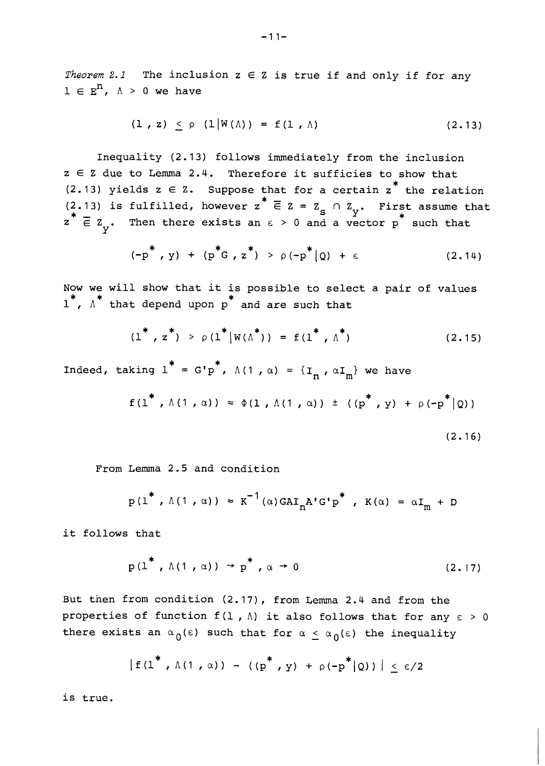*Theorem 2.1* The inclusion  $z \in Z$  is true if and only if for any  $1 \in E<sup>n</sup>$ ,  $\Lambda > 0$  we have

$$
(1, z) < \rho (1 | W(\Lambda)) = f(1, \Lambda)
$$
 (2.13)

Inequality (2.13) follows immediately from the inclusion  $z \in \mathbb{Z}$  due to Lemma 2.4. Therefore it sufficies to show that<br>(2.13) yields  $z \in \mathbb{Z}$ . Suppose that for a certain  $z^*$  the relation (2.13) yields  $z \in Z$ . Suppose that for a certain  $z^*$  the relation <br>(2.13) is fulfilled, however  $z^* \in Z = Z_S \cap Z_y$ . First assume that  $z^* \in Z$  is make there exists an a solution  $z^*$  and  $z^*$  and the such that  $z^* \in \mathbb{Z}$ . Then there exists an  $\varepsilon > 0$  and a vector p<sup>+</sup> such that

$$
(-p^*, y) + (p^*G, z^*) > \rho(-p^*|Q) + \varepsilon
$$
 (2.14)

Now we will show that it is possible to select a pair of values  $1^*$ ,  $\Lambda^*$  that depend upon p and are such that

$$
(1^*, z^*) > \rho(1^* |W(\Lambda^*)) = f(1^*, \Lambda^*)
$$
 (2.15)

Indeed, taking  $1^* = G'p^*$ ,  $\Lambda(1, \alpha) = \{I_n, \alpha I_m\}$  we have

$$
f(l^*, \Lambda(1, \alpha)) = \Phi(l, \Lambda(1, \alpha)) \pm ((p^*, y) + \rho(-p^* | Q))
$$
\n(2.16)

From Lemma 2.5 and condition

$$
p(1^*, \Lambda(1, \alpha)) = K^{-1}(\alpha) G A I_n A' G' p^*, K(\alpha) = \alpha I_m + D
$$

it follows that

$$
p(1^*, \Lambda(1, \alpha)) \rightarrow p^*, \alpha \rightarrow 0
$$
 (2.17)

But then from condition (2.17), from Lemma 2.4 and from the properties of function  $f(1, \Lambda)$  it also follows that for any  $\varepsilon > 0$ there exists an  $\alpha_0(\epsilon)$  such that for  $\alpha \leq \alpha_0(\epsilon)$  the inequality

$$
|f(1^*, \Lambda(1, \alpha)) - ((p^*, y) + \rho(-p^* | Q))| \le \epsilon/2
$$

is true.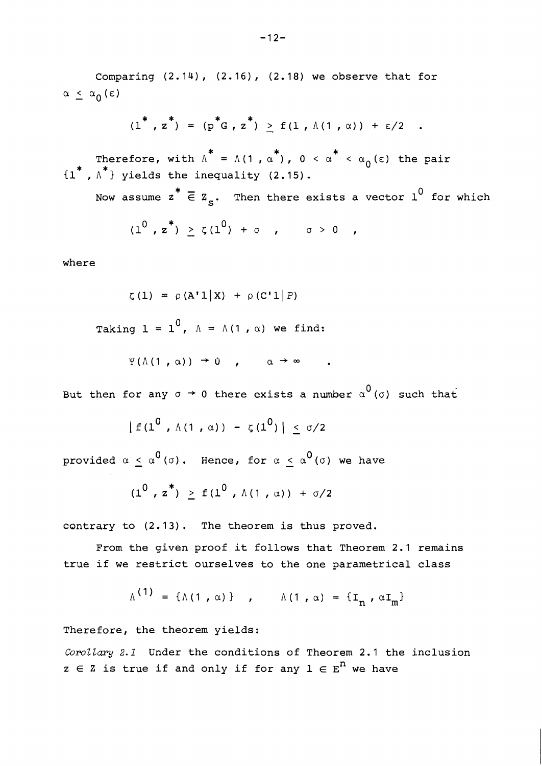Comparing  $(2.14)$ ,  $(2.16)$ ,  $(2.18)$  we observe that for  $\alpha \leq \alpha_0 (\epsilon)$ 

$$
(1^*, z^*) = (p^*G, z^*) \ge f(1, \Lambda(1, \alpha)) + \epsilon/2
$$
.

\*  $*$  \*  $*$   $*$  \* Therefore, with  $\Lambda = \Lambda(1, \alpha')$ ,  $0 < \alpha' < \alpha_0(\epsilon)$  the pair<br>\*  $\Lambda^*$  by interesting  $(2, 45)$  $\{1^*, \Lambda^*\}$  yields the inequality (2.15).

Now assume  $z^* \n\t\overline{\in} Z_{\varepsilon}$ . Then there exists a vector  $1^0$  for which

$$
(10, z*) \ge \zeta(10) + \sigma , \qquad \sigma > 0
$$

where

$$
\zeta(1) = \rho(A'1|X) + \rho(C'1|P)
$$
  
Taking  $1 = 1^0$ ,  $\Lambda = \Lambda(1, \alpha)$  we find:  

$$
\Psi(\Lambda(1, \alpha)) \to 0 \qquad \alpha \to \infty
$$

But then for any  $\sigma \to 0$  there exists a number  $\alpha^0(\sigma)$  such that

 $|f(1^0, \Lambda(1, \alpha)) - \zeta(1^0)| < \sigma/2$ 

provided  $\alpha \leq \alpha^0(\sigma)$ . Hence, for  $\alpha \leq \alpha^0(\sigma)$  we have

$$
(1^0, z^*) \ge f(1^0, \Lambda(1, \alpha)) + \sigma/2
$$

contrary to (2.13). The theorem is thus proved.

From the given proof it follows that Theorem 2.1 remains true if we restrict ourselves to the one parametrical class

$$
\Lambda^{(1)} = \{\Lambda(1, \alpha)\}, \qquad \Lambda(1, \alpha) = \{\mathbf{I}_n, \alpha \mathbf{I}_m\}
$$

Therefore, the theorem yields:

Corollary 2.1 Under the conditions of Theorem 2.1 the inclusion  $z \in \mathbb{Z}$  is true if and only if for any  $1 \in E^n$  we have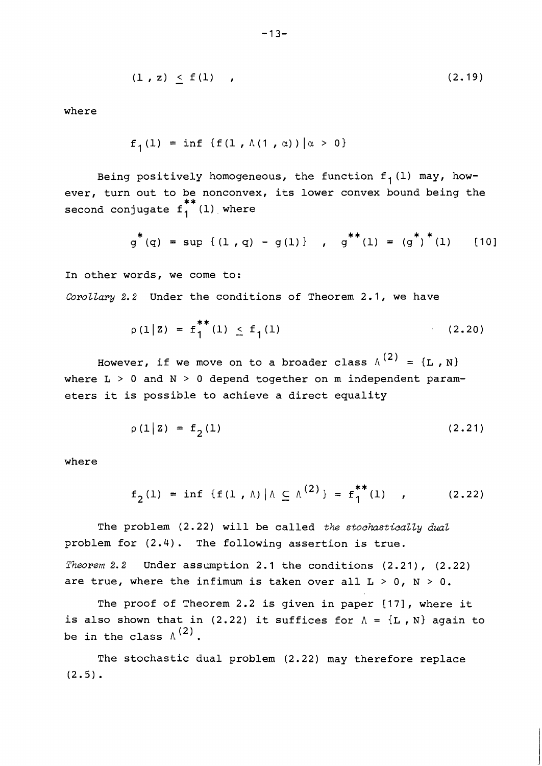$$
(1, z) < f(1)
$$
 (2.19)

where

$$
f_1(1) = \inf \{f(1, \Lambda(1, \alpha)) | \alpha > 0\}
$$

Being positively homogeneous, the function  $f_1(l)$  may, however, turn out to be nonconvex, its lower convex bound being the second conjugate  $f_1^{**}(1)$  where

$$
g^*(q) = \sup \{ (1, q) - g(1) \}, \quad g^{**}(1) = (g^*)^*(1)
$$
 [10]

In other words, we come to: *Corottary* 2.2 Under the conditions of Theorem 2.1, we have

$$
\rho(1|Z) = f_1^{**}(1) \le f_1(1) \tag{2.20}
$$

However, if we move on to a broader class  $\Lambda^{(2)} = \{L, N\}$ where L > 0 and **N** > 0 depend together on m independent parameters it is possible to achieve a direct equality

$$
\rho(1|Z) = f(1) \tag{2.21}
$$

where

$$
f_2(1) = \inf \{f(1, \Lambda) | \Lambda \subseteq \Lambda^{(2)}\} = f_1^{**}(1)
$$
 (2.22)

The problem (2.22) will be called *the stochsticatty dual*  problem for (2.4) . The following assertion is true. *Theorem 2.2* Under assumption 2.1 the conditions (2.21), (2.22) are true, where the infimum is taken over all  $L > 0$ ,  $N > 0$ .

The proof of Theorem 2.2 is given in paper [17], where it is also shown that in (2.22) it suffices for  $A = \{L, N\}$  again to be in the class  $\Lambda^{(2)}$ .

The stochastic dual problem (2.22) may therefore replace  $(2.5)$ .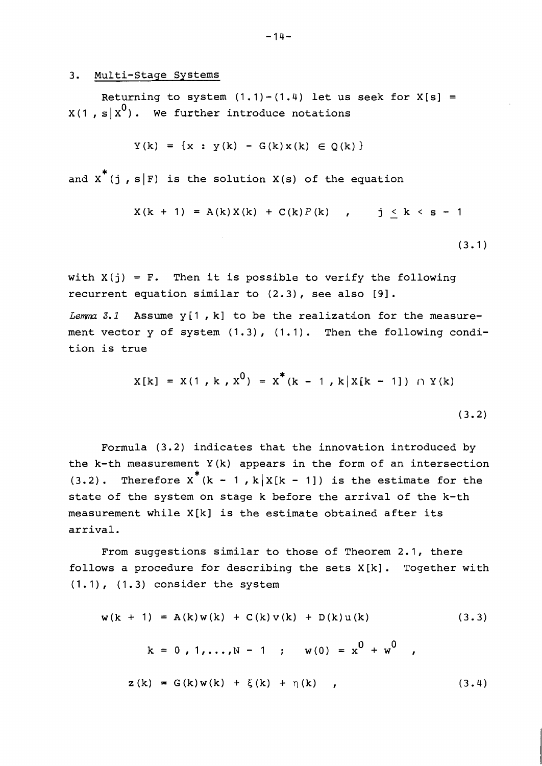## 3. Multi-Stage Systems

Returning to system  $(1.1)-(1.4)$  let us seek for  $X[s] =$  $X(1, s | x^0)$ . We further introduce notations

$$
Y(k) = {x : y(k) - G(k)x(k) \in Q(k)}
$$

and  $x^*$  (j , s|F) is the solution X(s) of the equation

$$
X(k + 1) = A(k)X(k) + C(k)P(k), \qquad j \leq k < s - 1
$$

 $(3.1)$ 

with  $X(j) = F$ . Then it is possible to verify the following recurrent equation similar to (2.3) , see also [9] .

Lemma 3.1 Assume y[1, k] to be the realization for the measurement vector y of system (1.3), (1.1). Then the following condition is true

$$
X[k] = X(1, k, x^{0}) = x^{*}(k - 1, k | X[k - 1]) \cap Y(k)
$$
\n(3.2)

Formula (3.2) indicates that the innovation introduced by the  $k-th$  measurement  $Y(k)$  appears in the form of an intersection (3.2). Therefore  $x^*(k - 1, k | X[k - 1])$  is the estimate for the state of the system on stage k before the arrival of the k-th measurement while X[k] is the estimate obtained after its arrival.

From suggestions similar to those of Theorem 2.1, there follows a procedure for describing the sets X[k]. Together with  $(1.1)$ ,  $(1.3)$  consider the system

$$
w(k + 1) = A(k)w(k) + C(k)v(k) + D(k)u(k)
$$
(3.3)  

$$
k = 0, 1,..., N - 1; w(0) = x^{0} + w^{0}
$$
  

$$
z(k) = G(k)w(k) + \xi(k) + \eta(k)
$$
(3.4)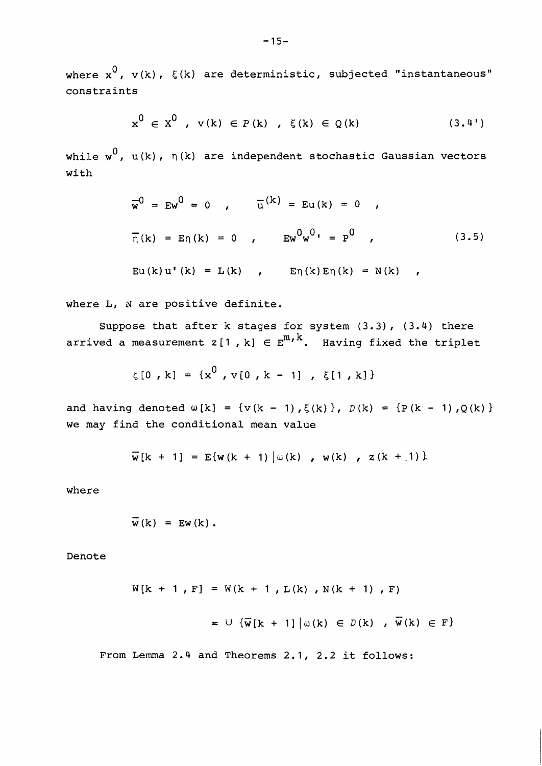where  $x^0$ ,  $v(k)$ ,  $\xi(k)$  are deterministic, subjected "instantaneous" constraints

$$
x^{0} \in X^{0}, \ v(k) \in P(k), \ \xi(k) \in Q(k) \qquad (3.4')
$$

while  $w^0$ ,  $u(k)$ ,  $\eta(k)$  are independent stochastic Gaussian vectors with

$$
\overline{w}^{0} = Ew^{0} = 0 \t, \t\overline{u}^{(k)} = Eu(k) = 0 \t, \n\overline{\eta}(k) = E\eta(k) = 0 \t, \t\overline{Ew}^{0}w^{0} = P^{0} \t, (3.5)\nEu(k)u'(k) = L(k) \t, E\eta(k)E\eta(k) = N(k) \t, (3.6)
$$

where L, N are positive definite.

Suppose that after k stages for system (3.3), (3.4) there arrived a measurement  $z[1, k] \in E^{m, k}$ . Having fixed the triplet

$$
\zeta[0, k] = \{x^0, v[0, k - 1], \xi[1, k]\}
$$

and having denoted  $\omega[k] = \{v(k - 1), \xi(k)\}\$ ,  $D(k) = \{P(k - 1), Q(k)\}\$ we may find the conditional mean value

$$
\overline{w}[k + 1] = E\{w(k + 1) | \omega(k), w(k), z(k + 1)\}\
$$

where

$$
\overline{w}(k) = Ew(k).
$$

Denote

$$
W[k + 1, F] = W(k + 1, L(k), N(k + 1), F)
$$
  

$$
= U \{\overline{w}[k + 1] | \omega(k) \in D(k), \overline{w}(k) \in F\}
$$

From Lemma 2.4 and Theorems 2.1, 2.2 it follows: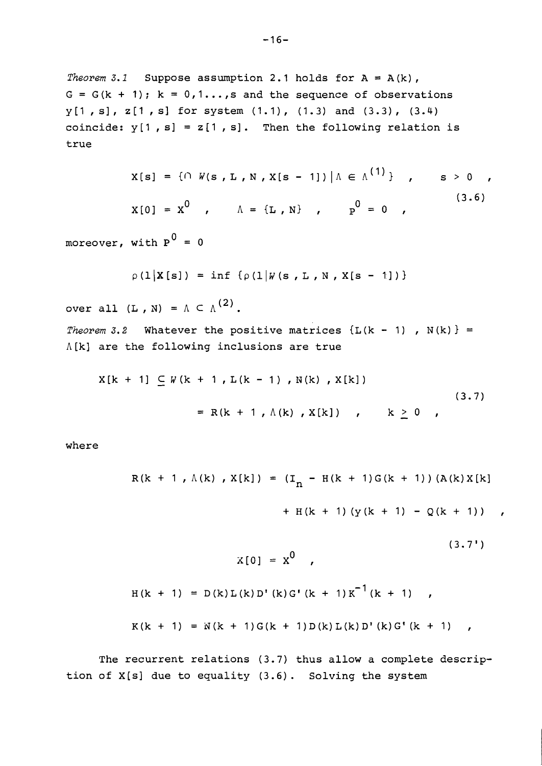*Theorem 3.1* Suppose assumption 2.1 holds for  $A = A(k)$ ,  $G = G(k + 1); k = 0,1...$ , s and the sequence of observations  $y[1, s], z[1, s]$  for system  $(1.1), (1.3)$  and  $(3.3), (3.4)$ coincide:  $y[1, s] = z[1, s]$ . Then the following relation is true

$$
X[s] = \{ \cap W(s, L, N, X[s - 1]) \mid \Lambda \in \Lambda^{(1)} \} , \qquad s > 0
$$
  

$$
X[0] = X^{0} , \qquad \Lambda = \{L, N\} , \qquad P^{0} = 0 , \qquad (3.6)
$$

 $\mathbf{1}$ 

moreover, with  $P^0 = 0$ 

$$
\rho(1|X[s]) = \inf \{ \rho(1|W(s, L, N, X[s - 1]) \}
$$

over all  $(L, N) = \Lambda \subset \Lambda^{(2)}$ .

*Theorem 3.2* Whatever the positive matrices  $\{L(k - 1)$ ,  $N(k)\}$  =  $\Lambda[k]$  are the following inclusions are true

$$
X[k + 1] \subseteq W(k + 1, L(k - 1), N(k), X[k])
$$
  
= R(k + 1, \Lambda(k), X[k]) , k \ge 0 , (3.7)

where

$$
R(k + 1, \Lambda(k), X[k]) = (I_n - H(k + 1)G(k + 1)) (A(k)X[k])
$$

+ H(k + 1)( $y(k + 1) - Q(k + 1)$ ),

$$
X[0] = X^{0}
$$
\n
$$
H(k + 1) = D(k)L(k)D^{t}(k)G^{t}(k + 1)K^{-1}(k + 1)
$$
\n
$$
K(k + 1) = N(k + 1)G(k + 1)D(k)L(k)D^{t}(k)G^{t}(k + 1)
$$

The recurrent relations (3.7) thus allow a complete description of X[s] due to equality (3.6) . Solving the system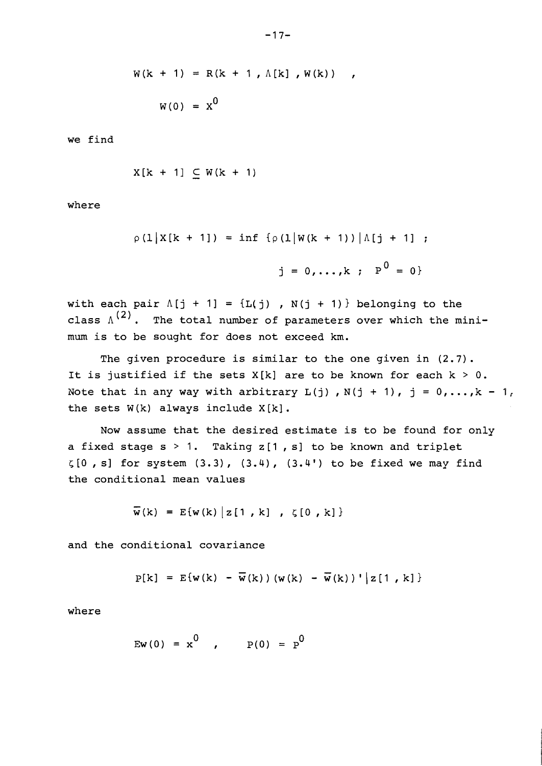$$
W(k + 1) = R(k + 1, \Lambda[k], W(k)),
$$

$$
W(0) = X^0
$$

we find

$$
X[k + 1] \subset W(k + 1)
$$

where

 $\rho(1|X[k + 1]) = \inf \{ \rho(1|W(k + 1)) | \Lambda[j + 1] \; ;$  $j = 0,...,k; P<sup>0</sup> = 0$ 

with each pair  $\Lambda[j + 1] = \{L(j)$ ,  $N(j + 1)\}$  belonging to the class  $\Lambda^{(2)}$ . The total number of parameters over which the minimum is to be sought for does not exceed km.

The given procedure is similar to the one given in (2.7). It is justified if the sets  $X[k]$  are to be known for each  $k > 0$ . Note that in any way with arbitrary  $L(j)$ ,  $N(j + 1)$ ,  $j = 0, ..., k - 1$ , the sets  $W(k)$  always include  $X[k]$ .

Now assume that the desired estimate is to be found for only a fixed stage  $s > 1$ . Taking  $z[1, s]$  to be known and triplet  $\zeta[0, s]$  for system  $(3.3)$ ,  $(3.4)$ ,  $(3.4')$  to be fixed we may find the conditional mean values

$$
\overline{w}(k) = E\{w(k) | z[1, k], \zeta[0, k] \}
$$

and the conditional covariance

$$
P[k]
$$
 = E{w(k) -  $\overline{w}(k)$ )(w(k) -  $\overline{w}(k)$ )}|z[1, k]

where

$$
EW(0) = x^{0}
$$
,  $P(0) = p^{0}$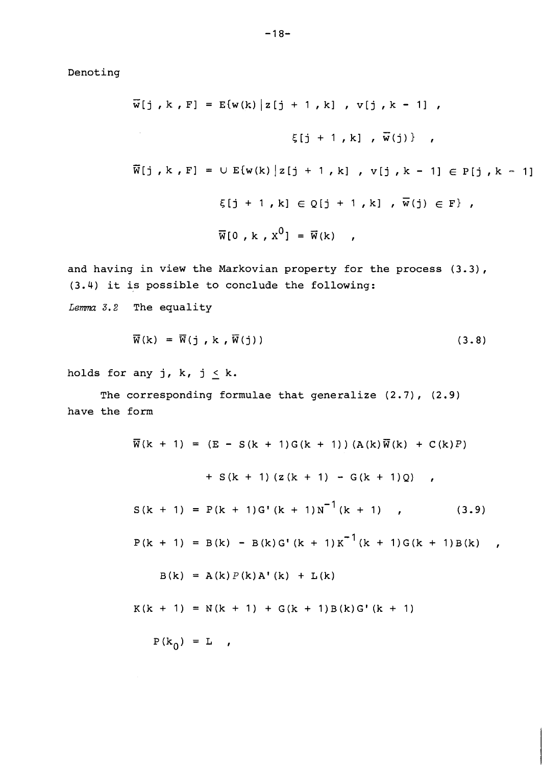**Denoting** 

$$
\overline{w}[j, k, F] = E\{w(k) | z[j + 1, k], v[j, k - 1],
$$
  

$$
\xi[j + 1, k], \overline{w}(j)\},
$$
  

$$
\overline{w}[j, k, F] = \cup E\{w(k) | z[j + 1, k], v[j, k - 1] \in P[j, k - 1]\}
$$
  

$$
\xi[j + 1, k] \in Q[j + 1, k], \overline{w}(j) \in F\},
$$
  

$$
\overline{w}[0, k, x^{0}] = \overline{w}(k),
$$

**and having in view the Markovian property for the process (3.3), (3.4) it is possible to conclude the following:** 

Lemma 3.2 The equality

$$
\overline{\mathbf{W}}(\mathbf{k}) = \overline{\mathbf{W}}(\mathbf{j}, \mathbf{k}, \overline{\mathbf{W}}(\mathbf{j})) \tag{3.8}
$$

holds for any  $j$ ,  $k$ ,  $j \leq k$ .

**The corresponding formulae that generalize (2.7)** , **(2.9) have the form** 

$$
\overline{w}(k + 1) = (E - S(k + 1)G(k + 1)) (A(k)\overline{w}(k) + C(k)P)
$$
  
+ S(k + 1) (z(k + 1) - G(k + 1)Q) ,  
  
S(k + 1) = P(k + 1)G'(k + 1)N<sup>-1</sup>(k + 1) , (3.9)  
  
P(k + 1) = B(k) - B(k)G'(k + 1)K<sup>-1</sup>(k + 1)G(k + 1)B(k)  
  
B(k) = A(k)P(k)A'(k) + L(k)  
  
K(k + 1) = N(k + 1) + G(k + 1)B(k)G'(k + 1)  
  
P(k<sub>0</sub>) = L ,

 $\pmb{r}$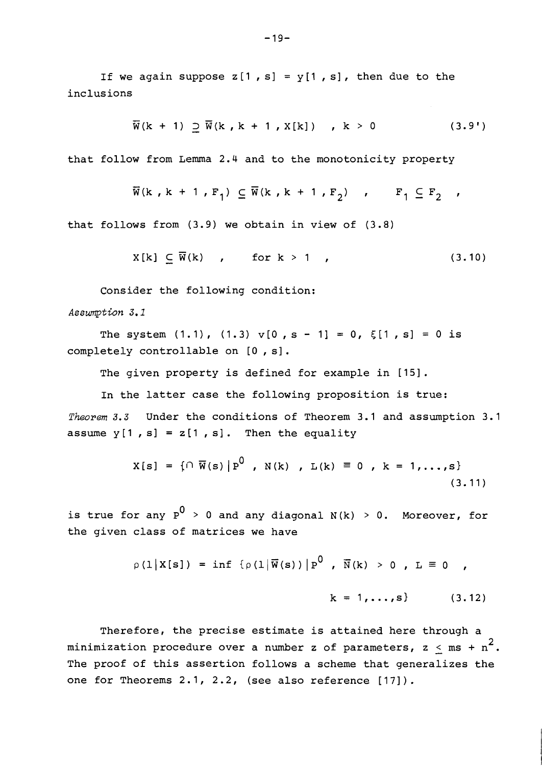If we again suppose  $z[1, s] = y[1, s]$ , then due to the inclusions

$$
\overline{W}(k + 1) \supseteq \overline{W}(k, k + 1, X[k]) \quad, k > 0 \tag{3.9'}
$$

that follow from Lemma 2.4 and to the monotonicity property

$$
\overline{w}(k, k+1, F_1) \subseteq \overline{w}(k, k+1, F_2) , F_1 \subseteq F_2 ,
$$

that follows from (3.9) we obtain in view of (3.8)

$$
X[k] \subseteq \overline{W}(k) \quad , \quad \text{for } k > 1 \quad , \tag{3.10}
$$

Consider the following condition:

Assumption 3.1

The system  $(1.1)$ ,  $(1.3)$  v[0, s - 1] = 0,  $\xi$ [1, s] = 0 is completely controllable on [0 , s].

The given property is defined for example in [15].

In the latter case the following proposition is true:

Theorem 3.3 Under the conditions of Theorem 3.1 and assumption 3.1 assume  $y[1, s] = z[1, s]$ . Then the equality

$$
X[s] = \{ \cap \overline{W}(s) | P^0, N(k), L(k) \equiv 0, k = 1,...,s \}
$$
\n(3.11)

is true for any  $p^0 > 0$  and any diagonal  $N(k) > 0$ . Moreover, for the given class of matrices we have

$$
\rho(1|X[s]) = \inf \{ \rho(1|\overline{W}(s)) | P^U, \overline{N}(k) > 0, L \equiv 0,
$$
  

$$
k = 1,...,s \}
$$
 (3.12)

Therefore, the precise estimate is attained here through a minimization procedure over a number z of parameters,  $z < ms + n^2$ . The proof of this assertion follows a scheme that generalizes the one for Theorems 2.1, 2.2, (see also reference [17]).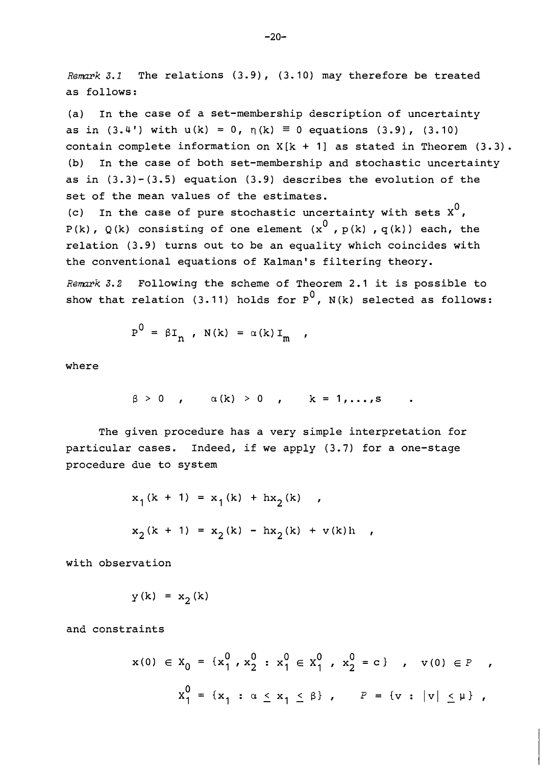*Remark 3.1* The relations (3.9), (3.10) may therefore be treated as follows:

(a) In the case of a set-membership description of uncertainty as in (3.4') with  $u(k) = 0$ ,  $\eta(k) = 0$  equations (3.9), (3.10) contain complete information on  $X[k + 1]$  as stated in Theorem (3.3). (b) In the case of both set-membership and stochastic uncertainty as in  $(3.3) - (3.5)$  equation  $(3.9)$  describes the evolution of the set of the mean values of the estimates.

(c) In the case of pure stochastic uncertainty with sets  $x^0$ , P(k), Q(k) consisting of one element  $(x^0, p(k), q(k))$  each, the relation (3.9) turns out to be an equality which coincides with the conventional equations of Kalman's filtering theory.

*Renmrk 3.2* Following the scheme of Theorem 2.1 it is possible to show that relation (3.11) holds for  $P^0$ , N(k) selected as follows:

$$
P^{U} = \beta I_{n} , N(k) = \alpha(k) I_{m} ,
$$

where

$$
\beta > 0 \quad , \qquad \alpha(k) > 0 \quad , \qquad k = 1, \ldots, s
$$

The given procedure has a very simple interpretation for particular cases. Indeed, if we apply (3.7) for a one-stage procedure due to system

$$
x_1(k + 1) = x_1(k) + hx_2(k) ,
$$
  

$$
x_2(k + 1) = x_2(k) - hx_2(k) + v(k)h ,
$$

with observation

$$
y(k) = x_2(k)
$$

and constraints

$$
x(0) \in X_0 = \{x_1^0, x_2^0 : x_1^0 \in X_1^0, x_2^0 = c\} , \quad v(0) \in P ,
$$
  

$$
X_1^0 = \{x_1 : \alpha \le x_1 \le \beta\} , \quad P = \{v : |v| \le \mu\} ,
$$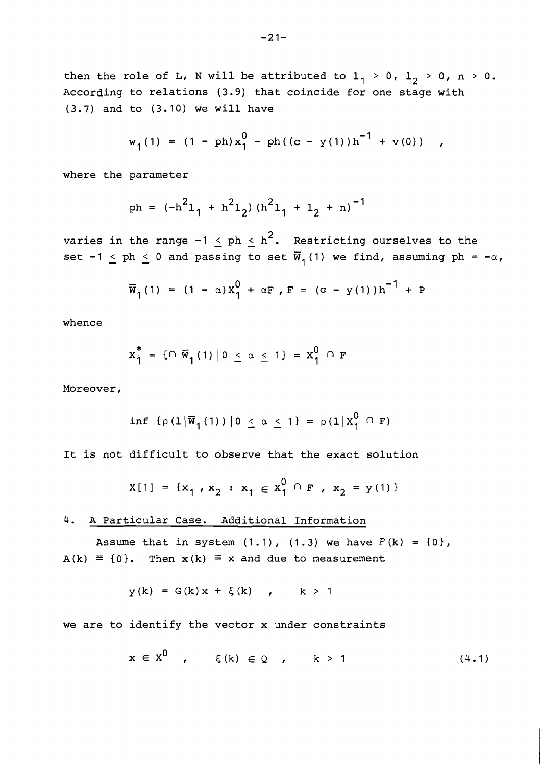$-21-$ 

then the role of L, N will be attributed to  $l_1 > 0$ ,  $l_2 > 0$ , n > 0. According to relations (3.9) that coincide for one stage with (3.7) and to (3.10) we will have

$$
w_1(1) = (1 - ph)x_1^0 - ph((c - y(1))h^{-1} + v(0))
$$

where the parameter

ph = 
$$
(-h^2l_1 + h^2l_2) (h^2l_1 + l_2 + n)^{-1}
$$

varies in the range  $-1 \leq ph \leq h^2$ . Restricting ourselves to the set -1  $\leq$  ph  $\leq$  0 and passing to set  $\overline{w}_1(1)$  we find, assuming ph = - $\alpha$ ,

$$
\overline{w}_1(1) = (1 - \alpha) x_1^0 + \alpha F
$$
,  $F = (c - y(1))h^{-1} + P$ 

whence

$$
x_1^* = \{ \cap \overline{w}_1(1) \mid 0 \le \alpha \le 1 \} = x_1^0 \cap F
$$

Moreover,

$$
\inf \left\{ \rho \left(1 \middle| \overline{w}_1 \left(1\right)\right) \middle| 0 \right\} \leq \alpha \leq 1 \right\} = \rho \left(1 \middle| X_1^0 \cap F\right)
$$

It is not difficult to observe that the exact solution

$$
x[1] = \{x_1, x_2 : x_1 \in x_1^0 \cap F, x_2 = y(1)\}\
$$

4. A Particular Case. Additional Information

Assume that in system  $(1.1)$ ,  $(1.3)$  we have  $P(k) = \{0\}$ ,  $A(k) \equiv \{0\}$ . Then  $x(k) \equiv x$  and due to measurement

$$
y(k) = G(k)x + \xi(k) \qquad k > 1
$$

we are to identify the vector x under constraints

$$
x \in X^0 \quad , \quad \xi(k) \in Q \quad , \quad k > 1 \tag{4.1}
$$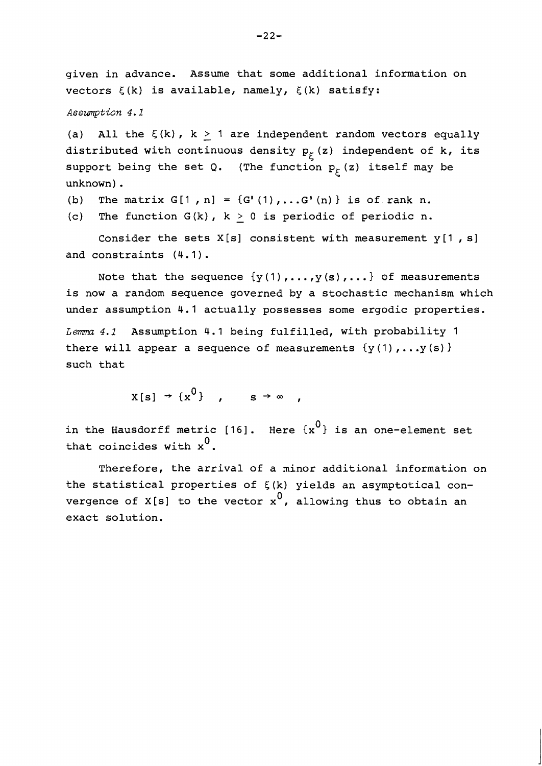given in advance. Assume that some additional information on vectors  $\xi(k)$  is available, namely,  $\xi(k)$  satisfy:

Assumption 4.1

(a) All the  $\xi(k)$ ,  $k > 1$  are independent random vectors equally distributed with continuous density  $p_{\xi}(z)$  independent of k, its support being the set Q. (The function  $p_{\xi}(z)$  itself may be unknown) .

- (b) The matrix  $G[1, n] = {G'(1), ..., G'(n)}$  is of rank n.
- (c) The function G(k), k > **0** is periodic of periodic n.

Consider the sets  $X[s]$  consistent with measurement  $y[1, s]$ and constraints (4.1).

Note that the sequence  $\{y(1), \ldots, y(s), \ldots\}$  of measurements is now a random sequence governed by a stochastic mechanism which under assumption 4.1 actually possesses some ergodic properties.

Lemma 4.1 Assumption 4.1 being fulfilled, with probability 1 there will appear a sequence of measurements  $\{y(1), \ldots, y(s)\}$ such that

 $X[s] \rightarrow \{x^0\}$ ,  $s \rightarrow \infty$ ,

in the Hausdorff metric [16]. Here  $\{x^0\}$  is an one-element set that coincides with  $x^0$ .

Therefore, the arrival of a minor additional information on the statistical properties of  $\xi(k)$  yields an asymptotical convergence of  $X[s]$  to the vector  $x^0$ , allowing thus to obtain an exact solution.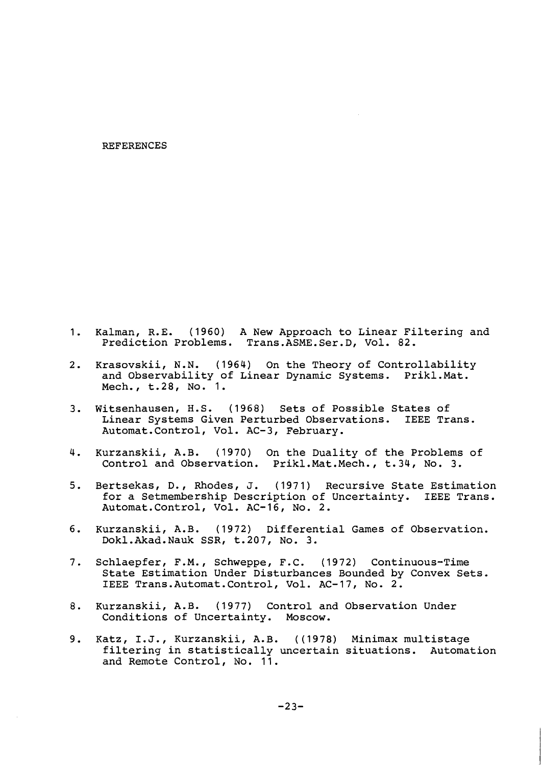#### REFERENCES

- $1.$ Kalman, R.E. (1960) A New Approach to Linear Filtering and Prediction Problems. Trans.ASME.Ser.D, Vol. 82.
- $2.$ Krasovskii, N.N. (1964) On the Theory of Controllability and Observability of Linear Dynamic Systems. Prikl.Mat. Mech., t.28, No. 1.
- Witsenhausen, H.S. (1968) Sets of Possible States of  $3.$ Linear Systems Given Perturbed Observations. IEEE Trans. Automat.Contro1, Vol. AC-3, February.
- 4. Kurzanskii, A.B. (1970) On the Duality of the Problems of Control and Observation. Prikl.Mat.Mech., t.34, No. 3.
- $5.$ Bertsekas, D., Rhodes, J. (1971) Recursive State Estimation for a Setmembership Description of Uncertainty. IEEE Trans. Automat.Contro1, Vol. AC-16, No. 2.
- 6. Kurzanskii, A.B. (1972) Differential Games of Observation. Dokl.Akad.Nauk SSR, t.207, No. 3.
- Schlaepfer, F.M., Schweppe, F.C. (1972) Continuous-Time  $7.$ State Estimation Under Disturbances Bounded by Convex Sets. IEEE Trans.Automat.Contro1, Vol. AC-17, No. 2.
- $8.$ Kurzanskii, A.B. (1977) Control and Observation Under Conditions of Uncertainty. Moscow.
- Katz, I.J., Kurzanskii, A.B. ((1978) Minimax multistage filtering in statistically uncertain situations. Automation and Remote Control, No. 11.